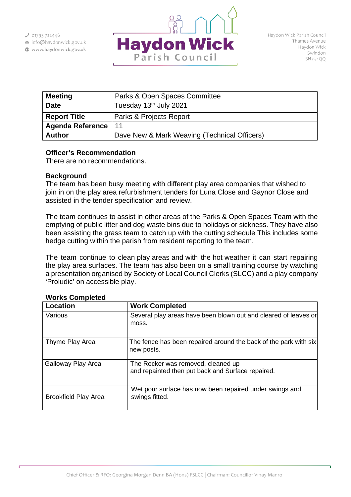info@haydonwick.gov.uk Www.haydonwick.gov.uk



| <b>Meeting</b>          | Parks & Open Spaces Committee                |
|-------------------------|----------------------------------------------|
| <b>Date</b>             | Tuesday 13 <sup>th</sup> July 2021           |
| <b>Report Title</b>     | Parks & Projects Report                      |
| <b>Agenda Reference</b> | 11                                           |
| <b>Author</b>           | Dave New & Mark Weaving (Technical Officers) |

## **Officer's Recommendation**

There are no recommendations.

## **Background**

The team has been busy meeting with different play area companies that wished to join in on the play area refurbishment tenders for Luna Close and Gaynor Close and assisted in the tender specification and review.

The team continues to assist in other areas of the Parks & Open Spaces Team with the emptying of public litter and dog waste bins due to holidays or sickness. They have also been assisting the grass team to catch up with the cutting schedule This includes some hedge cutting within the parish from resident reporting to the team.

The team continue to clean play areas and with the hot weather it can start repairing the play area surfaces. The team has also been on a small training course by watching a presentation organised by Society of Local Council Clerks (SLCC) and a play company 'Proludic' on accessible play.

| <b>Location</b>             | <b>Work Completed</b>                                                                   |
|-----------------------------|-----------------------------------------------------------------------------------------|
| Various                     | Several play areas have been blown out and cleared of leaves or<br>moss.                |
| Thyme Play Area             | The fence has been repaired around the back of the park with six<br>new posts.          |
| Galloway Play Area          | The Rocker was removed, cleaned up<br>and repainted then put back and Surface repaired. |
| <b>Brookfield Play Area</b> | Wet pour surface has now been repaired under swings and<br>swings fitted.               |

# **Works Completed**